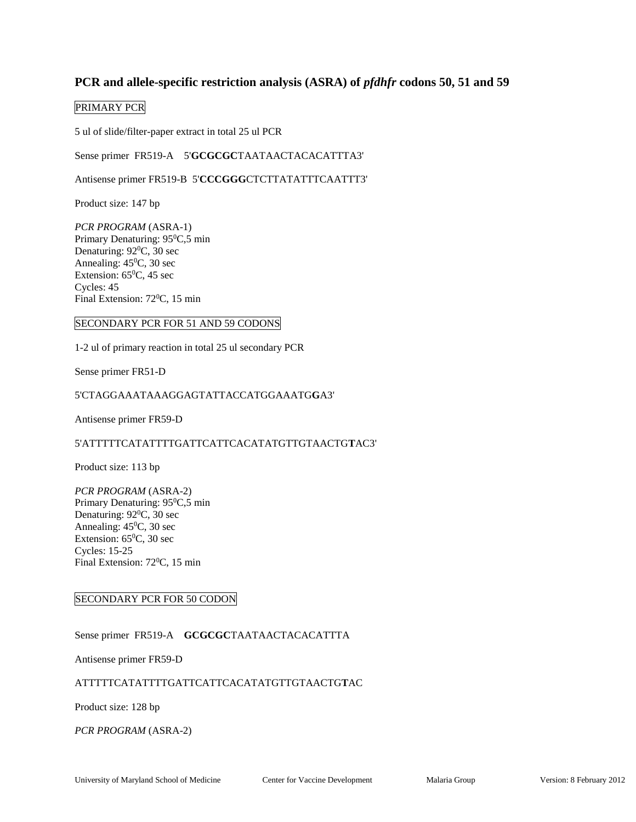# **PCR and allele-specific restriction analysis (ASRA) of** *pfdhfr* **codons 50, 51 and 59**

### PRIMARY PCR

5 ul of slide/filter-paper extract in total 25 ul PCR

Sense primer FR519-A 5'**GCGCGC**TAATAACTACACATTTA3'

Antisense primer FR519-B 5'**CCCGGG**CTCTTATATTTCAATTT3'

Product size: 147 bp

*PCR PROGRAM* (ASRA-1) Primary Denaturing: 95<sup>0</sup>C,5 min Denaturing: 92<sup>0</sup>C, 30 sec Annealing:  $45^{\circ}$ C, 30 sec Extension:  $65^{\circ}$ C, 45 sec Cycles: 45 Final Extension:  $72^{\circ}$ C, 15 min

#### SECONDARY PCR FOR 51 AND 59 CODONS

1-2 ul of primary reaction in total 25 ul secondary PCR

Sense primer FR51-D

### 5'CTAGGAAATAAAGGAGTATTACCATGGAAATG**G**A3'

Antisense primer FR59-D

### 5'ATTTTTCATATTTTGATTCATTCACATATGTTGTAACTG**T**AC3'

Product size: 113 bp

*PCR PROGRAM* (ASRA-2) Primary Denaturing: 95<sup>0</sup>C,5 min Denaturing:  $92^0C$ , 30 sec Annealing:  $45^{\circ}$ C, 30 sec Extension:  $65^{\circ}$ C, 30 sec Cycles: 15-25 Final Extension: 72<sup>0</sup>C, 15 min

### SECONDARY PCR FOR 50 CODON

Sense primer FR519-A **GCGCGC**TAATAACTACACATTTA

Antisense primer FR59-D

### ATTTTTCATATTTTGATTCATTCACATATGTTGTAACTG**T**AC

Product size: 128 bp

#### *PCR PROGRAM* (ASRA-2)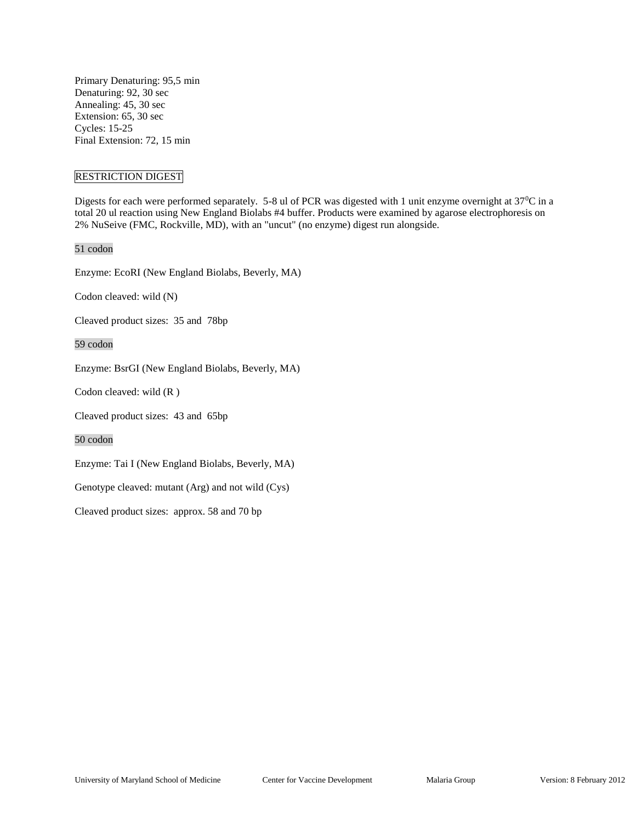Primary Denaturing: 95,5 min Denaturing: 92, 30 sec Annealing: 45, 30 sec Extension: 65, 30 sec Cycles: 15-25 Final Extension: 72, 15 min

### RESTRICTION DIGEST

Digests for each were performed separately. 5-8 ul of PCR was digested with 1 unit enzyme overnight at 37<sup>o</sup>C in a total 20 ul reaction using New England Biolabs #4 buffer. Products were examined by agarose electrophoresis on 2% NuSeive (FMC, Rockville, MD), with an "uncut" (no enzyme) digest run alongside.

#### 51 codon

Enzyme: EcoRI (New England Biolabs, Beverly, MA)

Codon cleaved: wild (N)

Cleaved product sizes: 35 and 78bp

59 codon

Enzyme: BsrGI (New England Biolabs, Beverly, MA)

Codon cleaved: wild (R )

Cleaved product sizes: 43 and 65bp

50 codon

Enzyme: Tai I (New England Biolabs, Beverly, MA)

Genotype cleaved: mutant (Arg) and not wild (Cys)

Cleaved product sizes: approx. 58 and 70 bp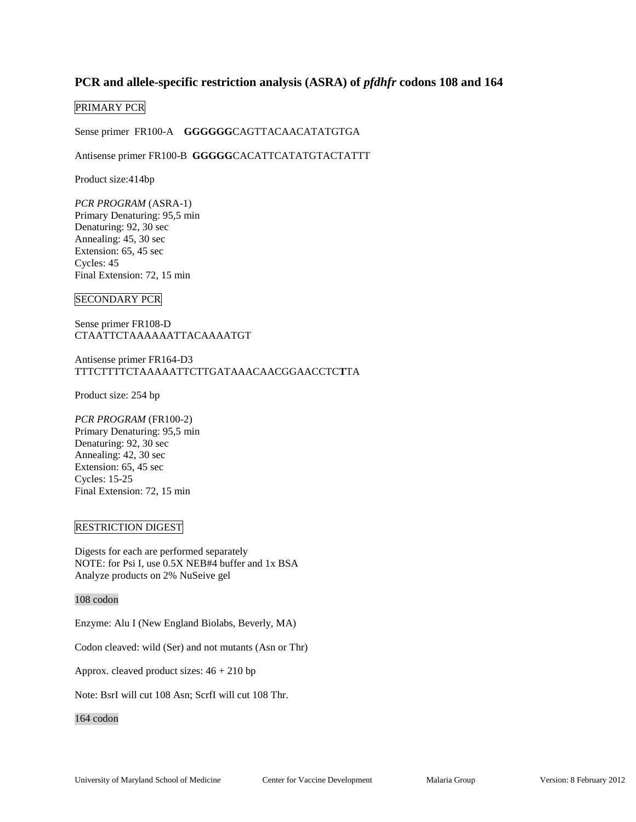# PCR and allele-specific restriction analysis (ASRA) of *pfdhfr* codons 108 and 164

### PRIMARY PCR

Sense primer FR100-A **GGGGGG**CAGTTACAACATATGTGA

### Antisense primer FR100-B **GGGGG**CACATTCATATGTACTATTT

Product size:414bp

*PCR PROGRAM* (ASRA-1) Primary Denaturing: 95,5 min Denaturing: 92, 30 sec Annealing: 45, 30 sec Extension: 65, 45 sec Cycles: 45 Final Extension: 72, 15 min

#### SECONDARY PCR

Sense primer FR108-D CTAATTCTAAAAAATTACAAAATGT

Antisense primer FR164-D3 TTTCTTTTCTAAAAATTCTTGATAAACAACGGAACCTC**T**TA

Product size: 254 bp

*PCR PROGRAM* (FR100-2) Primary Denaturing: 95,5 min Denaturing: 92, 30 sec Annealing: 42, 30 sec Extension: 65, 45 sec Cycles: 15-25 Final Extension: 72, 15 min

#### RESTRICTION DIGEST

Digests for each are performed separately NOTE: for Psi I, use 0.5X NEB#4 buffer and 1x BSA Analyze products on 2% NuSeive gel

#### 108 codon

Enzyme: Alu I (New England Biolabs, Beverly, MA)

Codon cleaved: wild (Ser) and not mutants (Asn or Thr)

Approx. cleaved product sizes: 46 + 210 bp

Note: BsrI will cut 108 Asn; ScrfI will cut 108 Thr.

### 164 codon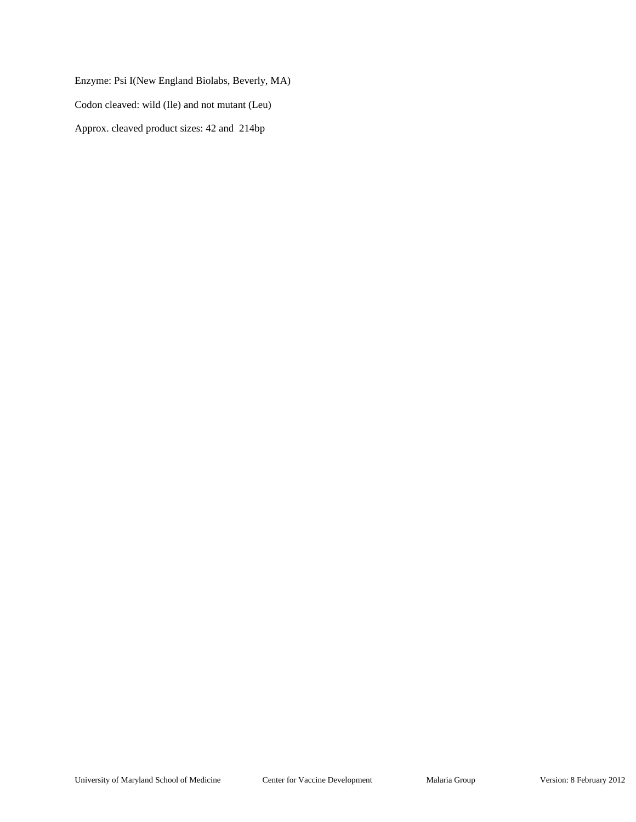Enzyme: Psi I(New England Biolabs, Beverly, MA) Codon cleaved: wild (Ile) and not mutant (Leu) Approx. cleaved product sizes: 42 and 214bp